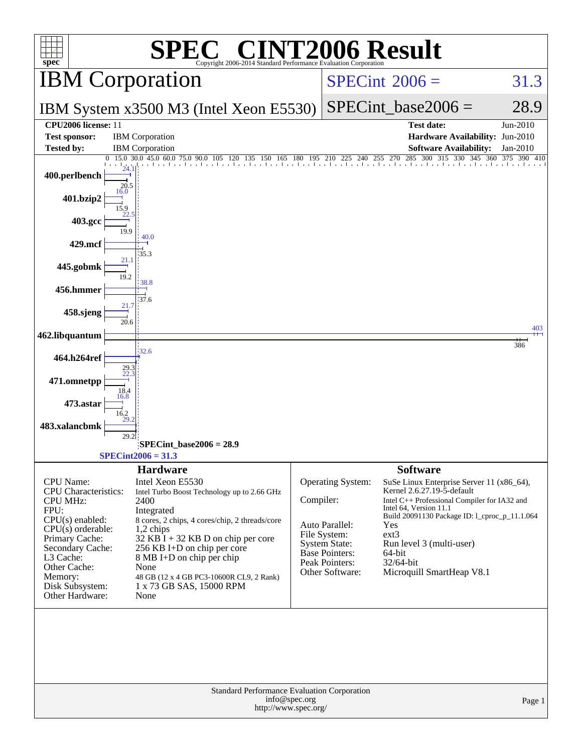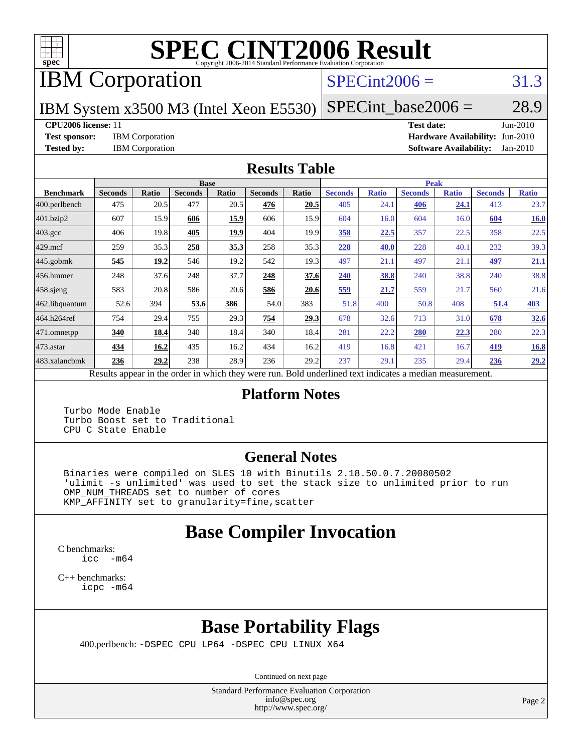

# **[SPEC CINT2006 Result](http://www.spec.org/auto/cpu2006/Docs/result-fields.html#SPECCINT2006Result)**

# IBM Corporation

#### $SPECint2006 = 31.3$  $SPECint2006 = 31.3$

IBM System x3500 M3 (Intel Xeon E5530)  $SPECTnt\_base2006 = 28.9$ 

**[CPU2006 license:](http://www.spec.org/auto/cpu2006/Docs/result-fields.html#CPU2006license)** 11 **[Test date:](http://www.spec.org/auto/cpu2006/Docs/result-fields.html#Testdate)** Jun-2010 **[Test sponsor:](http://www.spec.org/auto/cpu2006/Docs/result-fields.html#Testsponsor)** IBM Corporation **[Hardware Availability:](http://www.spec.org/auto/cpu2006/Docs/result-fields.html#HardwareAvailability)** Jun-2010 **[Tested by:](http://www.spec.org/auto/cpu2006/Docs/result-fields.html#Testedby)** IBM Corporation **[Software Availability:](http://www.spec.org/auto/cpu2006/Docs/result-fields.html#SoftwareAvailability)** Jan-2010

#### **[Results Table](http://www.spec.org/auto/cpu2006/Docs/result-fields.html#ResultsTable)**

|                    | <b>Base</b>                                                                                              |       |                |       |                |       | <b>Peak</b>    |              |                |              |                |              |  |
|--------------------|----------------------------------------------------------------------------------------------------------|-------|----------------|-------|----------------|-------|----------------|--------------|----------------|--------------|----------------|--------------|--|
| <b>Benchmark</b>   | <b>Seconds</b>                                                                                           | Ratio | <b>Seconds</b> | Ratio | <b>Seconds</b> | Ratio | <b>Seconds</b> | <b>Ratio</b> | <b>Seconds</b> | <b>Ratio</b> | <b>Seconds</b> | <b>Ratio</b> |  |
| 400.perlbench      | 475                                                                                                      | 20.5  | 477            | 20.5  | 476            | 20.5  | 405            | 24.1         | 406            | 24.1         | 413            | 23.7         |  |
| 401.bzip2          | 607                                                                                                      | 15.9  | 606            | 15.9  | 606            | 15.9  | 604            | 16.0         | 604            | 16.0         | 604            | 16.0         |  |
| $403.\mathrm{gcc}$ | 406                                                                                                      | 19.8  | 405            | 19.9  | 404            | 19.9  | 358            | 22.5         | 357            | 22.5         | 358            | 22.5         |  |
| $429$ .mcf         | 259                                                                                                      | 35.3  | 258            | 35.3  | 258            | 35.3  | 228            | 40.0         | 228            | 40.1         | 232            | 39.3         |  |
| $445$ .gobmk       | 545                                                                                                      | 19.2  | 546            | 19.2  | 542            | 19.3  | 497            | 21.1         | 497            | 21.1         | 497            | 21.1         |  |
| 456.hmmer          | 248                                                                                                      | 37.6  | 248            | 37.7  | 248            | 37.6  | 240            | 38.8         | 240            | 38.8         | 240            | 38.8         |  |
| $458$ .sjeng       | 583                                                                                                      | 20.8  | 586            | 20.6  | 586            | 20.6  | 559            | 21.7         | 559            | 21.7         | 560            | 21.6         |  |
| 462.libquantum     | 52.6                                                                                                     | 394   | 53.6           | 386   | 54.0           | 383   | 51.8           | 400          | 50.8           | 408          | 51.4           | 403          |  |
| 464.h264ref        | 754                                                                                                      | 29.4  | 755            | 29.3  | 754            | 29.3  | 678            | 32.6         | 713            | 31.0         | 678            | 32.6         |  |
| $ 471$ .omnetpp    | 340                                                                                                      | 18.4  | 340            | 18.4  | 340            | 18.4  | 281            | 22.2         | 280            | 22.3         | 280            | 22.3         |  |
| 473.astar          | 434                                                                                                      | 16.2  | 435            | 16.2  | 434            | 16.2  | 419            | 16.8         | 421            | 16.7         | <u>419</u>     | <b>16.8</b>  |  |
| 483.xalancbmk      | 236                                                                                                      | 29.2  | 238            | 28.9  | 236            | 29.2  | 237            | 29.1         | 235            | 29.4         | 236            | 29.2         |  |
|                    | Results appear in the order in which they were run. Bold underlined text indicates a median measurement. |       |                |       |                |       |                |              |                |              |                |              |  |

#### **[Platform Notes](http://www.spec.org/auto/cpu2006/Docs/result-fields.html#PlatformNotes)**

 Turbo Mode Enable Turbo Boost set to Traditional CPU C State Enable

#### **[General Notes](http://www.spec.org/auto/cpu2006/Docs/result-fields.html#GeneralNotes)**

 Binaries were compiled on SLES 10 with Binutils 2.18.50.0.7.20080502 'ulimit -s unlimited' was used to set the stack size to unlimited prior to run OMP\_NUM\_THREADS set to number of cores KMP\_AFFINITY set to granularity=fine,scatter

## **[Base Compiler Invocation](http://www.spec.org/auto/cpu2006/Docs/result-fields.html#BaseCompilerInvocation)**

[C benchmarks](http://www.spec.org/auto/cpu2006/Docs/result-fields.html#Cbenchmarks): [icc -m64](http://www.spec.org/cpu2006/results/res2010q3/cpu2006-20100621-11817.flags.html#user_CCbase_intel_icc_64bit_f346026e86af2a669e726fe758c88044)

[C++ benchmarks:](http://www.spec.org/auto/cpu2006/Docs/result-fields.html#CXXbenchmarks) [icpc -m64](http://www.spec.org/cpu2006/results/res2010q3/cpu2006-20100621-11817.flags.html#user_CXXbase_intel_icpc_64bit_fc66a5337ce925472a5c54ad6a0de310)

# **[Base Portability Flags](http://www.spec.org/auto/cpu2006/Docs/result-fields.html#BasePortabilityFlags)**

400.perlbench: [-DSPEC\\_CPU\\_LP64](http://www.spec.org/cpu2006/results/res2010q3/cpu2006-20100621-11817.flags.html#b400.perlbench_basePORTABILITY_DSPEC_CPU_LP64) [-DSPEC\\_CPU\\_LINUX\\_X64](http://www.spec.org/cpu2006/results/res2010q3/cpu2006-20100621-11817.flags.html#b400.perlbench_baseCPORTABILITY_DSPEC_CPU_LINUX_X64)

Continued on next page

Standard Performance Evaluation Corporation [info@spec.org](mailto:info@spec.org) <http://www.spec.org/>

Page 2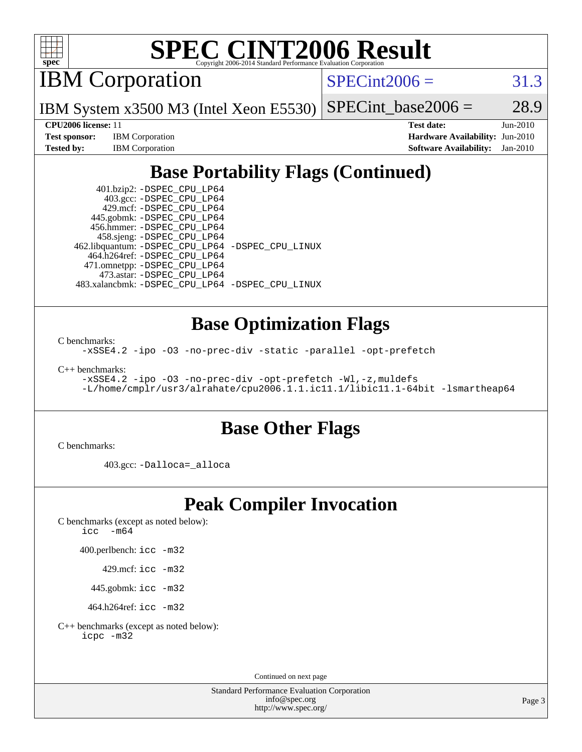

# **[SPEC CINT2006 Result](http://www.spec.org/auto/cpu2006/Docs/result-fields.html#SPECCINT2006Result)**

IBM Corporation

 $SPECint2006 = 31.3$  $SPECint2006 = 31.3$ 

 $SPECTnt_base2006 = 28.9$ 

IBM System x3500 M3 (Intel Xeon E5530)

**[Test sponsor:](http://www.spec.org/auto/cpu2006/Docs/result-fields.html#Testsponsor)** IBM Corporation **[Hardware Availability:](http://www.spec.org/auto/cpu2006/Docs/result-fields.html#HardwareAvailability)** Jun-2010

**[CPU2006 license:](http://www.spec.org/auto/cpu2006/Docs/result-fields.html#CPU2006license)** 11 **[Test date:](http://www.spec.org/auto/cpu2006/Docs/result-fields.html#Testdate)** Jun-2010 **[Tested by:](http://www.spec.org/auto/cpu2006/Docs/result-fields.html#Testedby)** IBM Corporation **[Software Availability:](http://www.spec.org/auto/cpu2006/Docs/result-fields.html#SoftwareAvailability)** Jan-2010

# **[Base Portability Flags \(Continued\)](http://www.spec.org/auto/cpu2006/Docs/result-fields.html#BasePortabilityFlags)**

 401.bzip2: [-DSPEC\\_CPU\\_LP64](http://www.spec.org/cpu2006/results/res2010q3/cpu2006-20100621-11817.flags.html#suite_basePORTABILITY401_bzip2_DSPEC_CPU_LP64) 403.gcc: [-DSPEC\\_CPU\\_LP64](http://www.spec.org/cpu2006/results/res2010q3/cpu2006-20100621-11817.flags.html#suite_basePORTABILITY403_gcc_DSPEC_CPU_LP64) 429.mcf: [-DSPEC\\_CPU\\_LP64](http://www.spec.org/cpu2006/results/res2010q3/cpu2006-20100621-11817.flags.html#suite_basePORTABILITY429_mcf_DSPEC_CPU_LP64) 445.gobmk: [-DSPEC\\_CPU\\_LP64](http://www.spec.org/cpu2006/results/res2010q3/cpu2006-20100621-11817.flags.html#suite_basePORTABILITY445_gobmk_DSPEC_CPU_LP64) 456.hmmer: [-DSPEC\\_CPU\\_LP64](http://www.spec.org/cpu2006/results/res2010q3/cpu2006-20100621-11817.flags.html#suite_basePORTABILITY456_hmmer_DSPEC_CPU_LP64) 458.sjeng: [-DSPEC\\_CPU\\_LP64](http://www.spec.org/cpu2006/results/res2010q3/cpu2006-20100621-11817.flags.html#suite_basePORTABILITY458_sjeng_DSPEC_CPU_LP64) 462.libquantum: [-DSPEC\\_CPU\\_LP64](http://www.spec.org/cpu2006/results/res2010q3/cpu2006-20100621-11817.flags.html#suite_basePORTABILITY462_libquantum_DSPEC_CPU_LP64) [-DSPEC\\_CPU\\_LINUX](http://www.spec.org/cpu2006/results/res2010q3/cpu2006-20100621-11817.flags.html#b462.libquantum_baseCPORTABILITY_DSPEC_CPU_LINUX) 464.h264ref: [-DSPEC\\_CPU\\_LP64](http://www.spec.org/cpu2006/results/res2010q3/cpu2006-20100621-11817.flags.html#suite_basePORTABILITY464_h264ref_DSPEC_CPU_LP64) 471.omnetpp: [-DSPEC\\_CPU\\_LP64](http://www.spec.org/cpu2006/results/res2010q3/cpu2006-20100621-11817.flags.html#suite_basePORTABILITY471_omnetpp_DSPEC_CPU_LP64) 473.astar: [-DSPEC\\_CPU\\_LP64](http://www.spec.org/cpu2006/results/res2010q3/cpu2006-20100621-11817.flags.html#suite_basePORTABILITY473_astar_DSPEC_CPU_LP64) 483.xalancbmk: [-DSPEC\\_CPU\\_LP64](http://www.spec.org/cpu2006/results/res2010q3/cpu2006-20100621-11817.flags.html#suite_basePORTABILITY483_xalancbmk_DSPEC_CPU_LP64) [-DSPEC\\_CPU\\_LINUX](http://www.spec.org/cpu2006/results/res2010q3/cpu2006-20100621-11817.flags.html#b483.xalancbmk_baseCXXPORTABILITY_DSPEC_CPU_LINUX)

## **[Base Optimization Flags](http://www.spec.org/auto/cpu2006/Docs/result-fields.html#BaseOptimizationFlags)**

[C benchmarks](http://www.spec.org/auto/cpu2006/Docs/result-fields.html#Cbenchmarks):

[-xSSE4.2](http://www.spec.org/cpu2006/results/res2010q3/cpu2006-20100621-11817.flags.html#user_CCbase_f-xSSE42_f91528193cf0b216347adb8b939d4107) [-ipo](http://www.spec.org/cpu2006/results/res2010q3/cpu2006-20100621-11817.flags.html#user_CCbase_f-ipo) [-O3](http://www.spec.org/cpu2006/results/res2010q3/cpu2006-20100621-11817.flags.html#user_CCbase_f-O3) [-no-prec-div](http://www.spec.org/cpu2006/results/res2010q3/cpu2006-20100621-11817.flags.html#user_CCbase_f-no-prec-div) [-static](http://www.spec.org/cpu2006/results/res2010q3/cpu2006-20100621-11817.flags.html#user_CCbase_f-static) [-parallel](http://www.spec.org/cpu2006/results/res2010q3/cpu2006-20100621-11817.flags.html#user_CCbase_f-parallel) [-opt-prefetch](http://www.spec.org/cpu2006/results/res2010q3/cpu2006-20100621-11817.flags.html#user_CCbase_f-opt-prefetch)

[C++ benchmarks:](http://www.spec.org/auto/cpu2006/Docs/result-fields.html#CXXbenchmarks)

```
-xSSE4.2 -ipo -O3 -no-prec-div -opt-prefetch -Wl,-z,muldefs
-L/home/cmplr/usr3/alrahate/cpu2006.1.1.ic11.1/libic11.1-64bit -lsmartheap64
```
## **[Base Other Flags](http://www.spec.org/auto/cpu2006/Docs/result-fields.html#BaseOtherFlags)**

[C benchmarks](http://www.spec.org/auto/cpu2006/Docs/result-fields.html#Cbenchmarks):

403.gcc: [-Dalloca=\\_alloca](http://www.spec.org/cpu2006/results/res2010q3/cpu2006-20100621-11817.flags.html#b403.gcc_baseEXTRA_CFLAGS_Dalloca_be3056838c12de2578596ca5467af7f3)

## **[Peak Compiler Invocation](http://www.spec.org/auto/cpu2006/Docs/result-fields.html#PeakCompilerInvocation)**

[C benchmarks \(except as noted below\)](http://www.spec.org/auto/cpu2006/Docs/result-fields.html#Cbenchmarksexceptasnotedbelow): [icc -m64](http://www.spec.org/cpu2006/results/res2010q3/cpu2006-20100621-11817.flags.html#user_CCpeak_intel_icc_64bit_f346026e86af2a669e726fe758c88044)

400.perlbench: [icc -m32](http://www.spec.org/cpu2006/results/res2010q3/cpu2006-20100621-11817.flags.html#user_peakCCLD400_perlbench_intel_icc_32bit_a6a621f8d50482236b970c6ac5f55f93)

429.mcf: [icc -m32](http://www.spec.org/cpu2006/results/res2010q3/cpu2006-20100621-11817.flags.html#user_peakCCLD429_mcf_intel_icc_32bit_a6a621f8d50482236b970c6ac5f55f93)

445.gobmk: [icc -m32](http://www.spec.org/cpu2006/results/res2010q3/cpu2006-20100621-11817.flags.html#user_peakCCLD445_gobmk_intel_icc_32bit_a6a621f8d50482236b970c6ac5f55f93)

464.h264ref: [icc -m32](http://www.spec.org/cpu2006/results/res2010q3/cpu2006-20100621-11817.flags.html#user_peakCCLD464_h264ref_intel_icc_32bit_a6a621f8d50482236b970c6ac5f55f93)

[C++ benchmarks \(except as noted below\):](http://www.spec.org/auto/cpu2006/Docs/result-fields.html#CXXbenchmarksexceptasnotedbelow) [icpc -m32](http://www.spec.org/cpu2006/results/res2010q3/cpu2006-20100621-11817.flags.html#user_CXXpeak_intel_icpc_32bit_4e5a5ef1a53fd332b3c49e69c3330699)

Continued on next page

Standard Performance Evaluation Corporation [info@spec.org](mailto:info@spec.org) <http://www.spec.org/>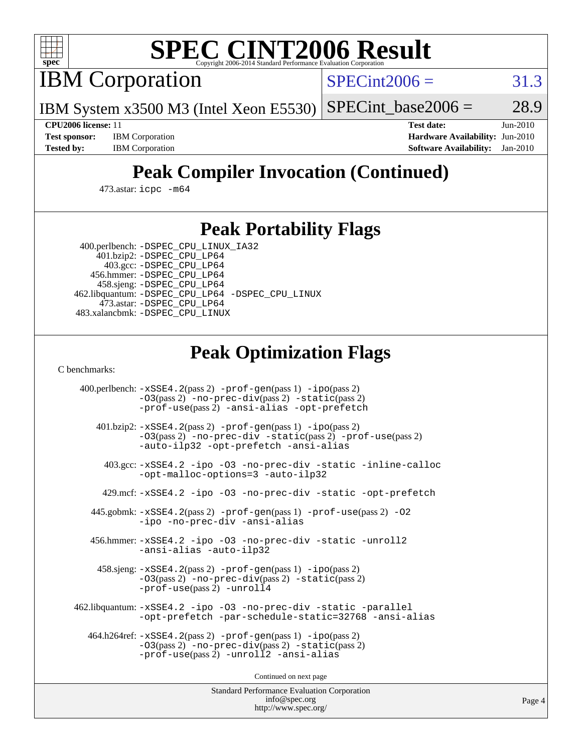

# **[SPEC CINT2006 Result](http://www.spec.org/auto/cpu2006/Docs/result-fields.html#SPECCINT2006Result)**

IBM Corporation

 $SPECint2006 = 31.3$  $SPECint2006 = 31.3$ 

IBM System x3500 M3 (Intel Xeon E5530)  $SPECTnt_base2006 = 28.9$ 

**[CPU2006 license:](http://www.spec.org/auto/cpu2006/Docs/result-fields.html#CPU2006license)** 11 **[Test date:](http://www.spec.org/auto/cpu2006/Docs/result-fields.html#Testdate)** Jun-2010 **[Test sponsor:](http://www.spec.org/auto/cpu2006/Docs/result-fields.html#Testsponsor)** IBM Corporation **[Hardware Availability:](http://www.spec.org/auto/cpu2006/Docs/result-fields.html#HardwareAvailability)** Jun-2010 **[Tested by:](http://www.spec.org/auto/cpu2006/Docs/result-fields.html#Testedby)** IBM Corporation **[Software Availability:](http://www.spec.org/auto/cpu2006/Docs/result-fields.html#SoftwareAvailability)** Jan-2010

# **[Peak Compiler Invocation \(Continued\)](http://www.spec.org/auto/cpu2006/Docs/result-fields.html#PeakCompilerInvocation)**

473.astar: [icpc -m64](http://www.spec.org/cpu2006/results/res2010q3/cpu2006-20100621-11817.flags.html#user_peakCXXLD473_astar_intel_icpc_64bit_fc66a5337ce925472a5c54ad6a0de310)

#### **[Peak Portability Flags](http://www.spec.org/auto/cpu2006/Docs/result-fields.html#PeakPortabilityFlags)**

 400.perlbench: [-DSPEC\\_CPU\\_LINUX\\_IA32](http://www.spec.org/cpu2006/results/res2010q3/cpu2006-20100621-11817.flags.html#b400.perlbench_peakCPORTABILITY_DSPEC_CPU_LINUX_IA32) 401.bzip2: [-DSPEC\\_CPU\\_LP64](http://www.spec.org/cpu2006/results/res2010q3/cpu2006-20100621-11817.flags.html#suite_peakPORTABILITY401_bzip2_DSPEC_CPU_LP64)

 403.gcc: [-DSPEC\\_CPU\\_LP64](http://www.spec.org/cpu2006/results/res2010q3/cpu2006-20100621-11817.flags.html#suite_peakPORTABILITY403_gcc_DSPEC_CPU_LP64) 456.hmmer: [-DSPEC\\_CPU\\_LP64](http://www.spec.org/cpu2006/results/res2010q3/cpu2006-20100621-11817.flags.html#suite_peakPORTABILITY456_hmmer_DSPEC_CPU_LP64) 458.sjeng: [-DSPEC\\_CPU\\_LP64](http://www.spec.org/cpu2006/results/res2010q3/cpu2006-20100621-11817.flags.html#suite_peakPORTABILITY458_sjeng_DSPEC_CPU_LP64) 462.libquantum: [-DSPEC\\_CPU\\_LP64](http://www.spec.org/cpu2006/results/res2010q3/cpu2006-20100621-11817.flags.html#suite_peakPORTABILITY462_libquantum_DSPEC_CPU_LP64) [-DSPEC\\_CPU\\_LINUX](http://www.spec.org/cpu2006/results/res2010q3/cpu2006-20100621-11817.flags.html#b462.libquantum_peakCPORTABILITY_DSPEC_CPU_LINUX) 473.astar: [-DSPEC\\_CPU\\_LP64](http://www.spec.org/cpu2006/results/res2010q3/cpu2006-20100621-11817.flags.html#suite_peakPORTABILITY473_astar_DSPEC_CPU_LP64) 483.xalancbmk: [-DSPEC\\_CPU\\_LINUX](http://www.spec.org/cpu2006/results/res2010q3/cpu2006-20100621-11817.flags.html#b483.xalancbmk_peakCXXPORTABILITY_DSPEC_CPU_LINUX)

## **[Peak Optimization Flags](http://www.spec.org/auto/cpu2006/Docs/result-fields.html#PeakOptimizationFlags)**

[C benchmarks](http://www.spec.org/auto/cpu2006/Docs/result-fields.html#Cbenchmarks):

 400.perlbench: [-xSSE4.2](http://www.spec.org/cpu2006/results/res2010q3/cpu2006-20100621-11817.flags.html#user_peakPASS2_CFLAGSPASS2_LDCFLAGS400_perlbench_f-xSSE42_f91528193cf0b216347adb8b939d4107)(pass 2) [-prof-gen](http://www.spec.org/cpu2006/results/res2010q3/cpu2006-20100621-11817.flags.html#user_peakPASS1_CFLAGSPASS1_LDCFLAGS400_perlbench_prof_gen_e43856698f6ca7b7e442dfd80e94a8fc)(pass 1) [-ipo](http://www.spec.org/cpu2006/results/res2010q3/cpu2006-20100621-11817.flags.html#user_peakPASS2_CFLAGSPASS2_LDCFLAGS400_perlbench_f-ipo)(pass 2) [-O3](http://www.spec.org/cpu2006/results/res2010q3/cpu2006-20100621-11817.flags.html#user_peakPASS2_CFLAGSPASS2_LDCFLAGS400_perlbench_f-O3)(pass 2) [-no-prec-div](http://www.spec.org/cpu2006/results/res2010q3/cpu2006-20100621-11817.flags.html#user_peakPASS2_CFLAGSPASS2_LDCFLAGS400_perlbench_f-no-prec-div)(pass 2) [-static](http://www.spec.org/cpu2006/results/res2010q3/cpu2006-20100621-11817.flags.html#user_peakPASS2_CFLAGSPASS2_LDCFLAGS400_perlbench_f-static)(pass 2) [-prof-use](http://www.spec.org/cpu2006/results/res2010q3/cpu2006-20100621-11817.flags.html#user_peakPASS2_CFLAGSPASS2_LDCFLAGS400_perlbench_prof_use_bccf7792157ff70d64e32fe3e1250b55)(pass 2) [-ansi-alias](http://www.spec.org/cpu2006/results/res2010q3/cpu2006-20100621-11817.flags.html#user_peakCOPTIMIZE400_perlbench_f-ansi-alias) [-opt-prefetch](http://www.spec.org/cpu2006/results/res2010q3/cpu2006-20100621-11817.flags.html#user_peakCOPTIMIZE400_perlbench_f-opt-prefetch) 401.bzip2: [-xSSE4.2](http://www.spec.org/cpu2006/results/res2010q3/cpu2006-20100621-11817.flags.html#user_peakPASS2_CFLAGSPASS2_LDCFLAGS401_bzip2_f-xSSE42_f91528193cf0b216347adb8b939d4107)(pass 2) [-prof-gen](http://www.spec.org/cpu2006/results/res2010q3/cpu2006-20100621-11817.flags.html#user_peakPASS1_CFLAGSPASS1_LDCFLAGS401_bzip2_prof_gen_e43856698f6ca7b7e442dfd80e94a8fc)(pass 1) [-ipo](http://www.spec.org/cpu2006/results/res2010q3/cpu2006-20100621-11817.flags.html#user_peakPASS2_CFLAGSPASS2_LDCFLAGS401_bzip2_f-ipo)(pass 2) [-O3](http://www.spec.org/cpu2006/results/res2010q3/cpu2006-20100621-11817.flags.html#user_peakPASS2_CFLAGSPASS2_LDCFLAGS401_bzip2_f-O3)(pass 2) [-no-prec-div](http://www.spec.org/cpu2006/results/res2010q3/cpu2006-20100621-11817.flags.html#user_peakCOPTIMIZEPASS2_CFLAGSPASS2_LDCFLAGS401_bzip2_f-no-prec-div) [-static](http://www.spec.org/cpu2006/results/res2010q3/cpu2006-20100621-11817.flags.html#user_peakPASS2_CFLAGSPASS2_LDCFLAGS401_bzip2_f-static)(pass 2) [-prof-use](http://www.spec.org/cpu2006/results/res2010q3/cpu2006-20100621-11817.flags.html#user_peakPASS2_CFLAGSPASS2_LDCFLAGS401_bzip2_prof_use_bccf7792157ff70d64e32fe3e1250b55)(pass 2) [-auto-ilp32](http://www.spec.org/cpu2006/results/res2010q3/cpu2006-20100621-11817.flags.html#user_peakCOPTIMIZE401_bzip2_f-auto-ilp32) [-opt-prefetch](http://www.spec.org/cpu2006/results/res2010q3/cpu2006-20100621-11817.flags.html#user_peakCOPTIMIZE401_bzip2_f-opt-prefetch) [-ansi-alias](http://www.spec.org/cpu2006/results/res2010q3/cpu2006-20100621-11817.flags.html#user_peakCOPTIMIZE401_bzip2_f-ansi-alias) 403.gcc: [-xSSE4.2](http://www.spec.org/cpu2006/results/res2010q3/cpu2006-20100621-11817.flags.html#user_peakCOPTIMIZE403_gcc_f-xSSE42_f91528193cf0b216347adb8b939d4107) [-ipo](http://www.spec.org/cpu2006/results/res2010q3/cpu2006-20100621-11817.flags.html#user_peakCOPTIMIZE403_gcc_f-ipo) [-O3](http://www.spec.org/cpu2006/results/res2010q3/cpu2006-20100621-11817.flags.html#user_peakCOPTIMIZE403_gcc_f-O3) [-no-prec-div](http://www.spec.org/cpu2006/results/res2010q3/cpu2006-20100621-11817.flags.html#user_peakCOPTIMIZE403_gcc_f-no-prec-div) [-static](http://www.spec.org/cpu2006/results/res2010q3/cpu2006-20100621-11817.flags.html#user_peakCOPTIMIZE403_gcc_f-static) [-inline-calloc](http://www.spec.org/cpu2006/results/res2010q3/cpu2006-20100621-11817.flags.html#user_peakCOPTIMIZE403_gcc_f-inline-calloc) [-opt-malloc-options=3](http://www.spec.org/cpu2006/results/res2010q3/cpu2006-20100621-11817.flags.html#user_peakCOPTIMIZE403_gcc_f-opt-malloc-options_13ab9b803cf986b4ee62f0a5998c2238) [-auto-ilp32](http://www.spec.org/cpu2006/results/res2010q3/cpu2006-20100621-11817.flags.html#user_peakCOPTIMIZE403_gcc_f-auto-ilp32) 429.mcf: [-xSSE4.2](http://www.spec.org/cpu2006/results/res2010q3/cpu2006-20100621-11817.flags.html#user_peakCOPTIMIZE429_mcf_f-xSSE42_f91528193cf0b216347adb8b939d4107) [-ipo](http://www.spec.org/cpu2006/results/res2010q3/cpu2006-20100621-11817.flags.html#user_peakCOPTIMIZE429_mcf_f-ipo) [-O3](http://www.spec.org/cpu2006/results/res2010q3/cpu2006-20100621-11817.flags.html#user_peakCOPTIMIZE429_mcf_f-O3) [-no-prec-div](http://www.spec.org/cpu2006/results/res2010q3/cpu2006-20100621-11817.flags.html#user_peakCOPTIMIZE429_mcf_f-no-prec-div) [-static](http://www.spec.org/cpu2006/results/res2010q3/cpu2006-20100621-11817.flags.html#user_peakCOPTIMIZE429_mcf_f-static) [-opt-prefetch](http://www.spec.org/cpu2006/results/res2010q3/cpu2006-20100621-11817.flags.html#user_peakCOPTIMIZE429_mcf_f-opt-prefetch) 445.gobmk: [-xSSE4.2](http://www.spec.org/cpu2006/results/res2010q3/cpu2006-20100621-11817.flags.html#user_peakPASS2_CFLAGSPASS2_LDCFLAGS445_gobmk_f-xSSE42_f91528193cf0b216347adb8b939d4107)(pass 2) [-prof-gen](http://www.spec.org/cpu2006/results/res2010q3/cpu2006-20100621-11817.flags.html#user_peakPASS1_CFLAGSPASS1_LDCFLAGS445_gobmk_prof_gen_e43856698f6ca7b7e442dfd80e94a8fc)(pass 1) [-prof-use](http://www.spec.org/cpu2006/results/res2010q3/cpu2006-20100621-11817.flags.html#user_peakPASS2_CFLAGSPASS2_LDCFLAGS445_gobmk_prof_use_bccf7792157ff70d64e32fe3e1250b55)(pass 2) [-O2](http://www.spec.org/cpu2006/results/res2010q3/cpu2006-20100621-11817.flags.html#user_peakCOPTIMIZE445_gobmk_f-O2) [-ipo](http://www.spec.org/cpu2006/results/res2010q3/cpu2006-20100621-11817.flags.html#user_peakCOPTIMIZE445_gobmk_f-ipo) [-no-prec-div](http://www.spec.org/cpu2006/results/res2010q3/cpu2006-20100621-11817.flags.html#user_peakCOPTIMIZE445_gobmk_f-no-prec-div) [-ansi-alias](http://www.spec.org/cpu2006/results/res2010q3/cpu2006-20100621-11817.flags.html#user_peakCOPTIMIZE445_gobmk_f-ansi-alias) 456.hmmer: [-xSSE4.2](http://www.spec.org/cpu2006/results/res2010q3/cpu2006-20100621-11817.flags.html#user_peakCOPTIMIZE456_hmmer_f-xSSE42_f91528193cf0b216347adb8b939d4107) [-ipo](http://www.spec.org/cpu2006/results/res2010q3/cpu2006-20100621-11817.flags.html#user_peakCOPTIMIZE456_hmmer_f-ipo) [-O3](http://www.spec.org/cpu2006/results/res2010q3/cpu2006-20100621-11817.flags.html#user_peakCOPTIMIZE456_hmmer_f-O3) [-no-prec-div](http://www.spec.org/cpu2006/results/res2010q3/cpu2006-20100621-11817.flags.html#user_peakCOPTIMIZE456_hmmer_f-no-prec-div) [-static](http://www.spec.org/cpu2006/results/res2010q3/cpu2006-20100621-11817.flags.html#user_peakCOPTIMIZE456_hmmer_f-static) [-unroll2](http://www.spec.org/cpu2006/results/res2010q3/cpu2006-20100621-11817.flags.html#user_peakCOPTIMIZE456_hmmer_f-unroll_784dae83bebfb236979b41d2422d7ec2) [-ansi-alias](http://www.spec.org/cpu2006/results/res2010q3/cpu2006-20100621-11817.flags.html#user_peakCOPTIMIZE456_hmmer_f-ansi-alias) [-auto-ilp32](http://www.spec.org/cpu2006/results/res2010q3/cpu2006-20100621-11817.flags.html#user_peakCOPTIMIZE456_hmmer_f-auto-ilp32) 458.sjeng: [-xSSE4.2](http://www.spec.org/cpu2006/results/res2010q3/cpu2006-20100621-11817.flags.html#user_peakPASS2_CFLAGSPASS2_LDCFLAGS458_sjeng_f-xSSE42_f91528193cf0b216347adb8b939d4107)(pass 2) [-prof-gen](http://www.spec.org/cpu2006/results/res2010q3/cpu2006-20100621-11817.flags.html#user_peakPASS1_CFLAGSPASS1_LDCFLAGS458_sjeng_prof_gen_e43856698f6ca7b7e442dfd80e94a8fc)(pass 1) [-ipo](http://www.spec.org/cpu2006/results/res2010q3/cpu2006-20100621-11817.flags.html#user_peakPASS2_CFLAGSPASS2_LDCFLAGS458_sjeng_f-ipo)(pass 2) [-O3](http://www.spec.org/cpu2006/results/res2010q3/cpu2006-20100621-11817.flags.html#user_peakPASS2_CFLAGSPASS2_LDCFLAGS458_sjeng_f-O3)(pass 2) [-no-prec-div](http://www.spec.org/cpu2006/results/res2010q3/cpu2006-20100621-11817.flags.html#user_peakPASS2_CFLAGSPASS2_LDCFLAGS458_sjeng_f-no-prec-div)(pass 2) [-static](http://www.spec.org/cpu2006/results/res2010q3/cpu2006-20100621-11817.flags.html#user_peakPASS2_CFLAGSPASS2_LDCFLAGS458_sjeng_f-static)(pass 2) [-prof-use](http://www.spec.org/cpu2006/results/res2010q3/cpu2006-20100621-11817.flags.html#user_peakPASS2_CFLAGSPASS2_LDCFLAGS458_sjeng_prof_use_bccf7792157ff70d64e32fe3e1250b55)(pass 2) [-unroll4](http://www.spec.org/cpu2006/results/res2010q3/cpu2006-20100621-11817.flags.html#user_peakCOPTIMIZE458_sjeng_f-unroll_4e5e4ed65b7fd20bdcd365bec371b81f) 462.libquantum: [-xSSE4.2](http://www.spec.org/cpu2006/results/res2010q3/cpu2006-20100621-11817.flags.html#user_peakCOPTIMIZE462_libquantum_f-xSSE42_f91528193cf0b216347adb8b939d4107) [-ipo](http://www.spec.org/cpu2006/results/res2010q3/cpu2006-20100621-11817.flags.html#user_peakCOPTIMIZE462_libquantum_f-ipo) [-O3](http://www.spec.org/cpu2006/results/res2010q3/cpu2006-20100621-11817.flags.html#user_peakCOPTIMIZE462_libquantum_f-O3) [-no-prec-div](http://www.spec.org/cpu2006/results/res2010q3/cpu2006-20100621-11817.flags.html#user_peakCOPTIMIZE462_libquantum_f-no-prec-div) [-static](http://www.spec.org/cpu2006/results/res2010q3/cpu2006-20100621-11817.flags.html#user_peakCOPTIMIZE462_libquantum_f-static) [-parallel](http://www.spec.org/cpu2006/results/res2010q3/cpu2006-20100621-11817.flags.html#user_peakCOPTIMIZE462_libquantum_f-parallel) [-opt-prefetch](http://www.spec.org/cpu2006/results/res2010q3/cpu2006-20100621-11817.flags.html#user_peakCOPTIMIZE462_libquantum_f-opt-prefetch) [-par-schedule-static=32768](http://www.spec.org/cpu2006/results/res2010q3/cpu2006-20100621-11817.flags.html#user_peakCOPTIMIZE462_libquantum_f-par-schedule_9386bcd99ba64e99ee01d1aafefddd14) [-ansi-alias](http://www.spec.org/cpu2006/results/res2010q3/cpu2006-20100621-11817.flags.html#user_peakCOPTIMIZE462_libquantum_f-ansi-alias) 464.h264ref: [-xSSE4.2](http://www.spec.org/cpu2006/results/res2010q3/cpu2006-20100621-11817.flags.html#user_peakPASS2_CFLAGSPASS2_LDCFLAGS464_h264ref_f-xSSE42_f91528193cf0b216347adb8b939d4107)(pass 2) [-prof-gen](http://www.spec.org/cpu2006/results/res2010q3/cpu2006-20100621-11817.flags.html#user_peakPASS1_CFLAGSPASS1_LDCFLAGS464_h264ref_prof_gen_e43856698f6ca7b7e442dfd80e94a8fc)(pass 1) [-ipo](http://www.spec.org/cpu2006/results/res2010q3/cpu2006-20100621-11817.flags.html#user_peakPASS2_CFLAGSPASS2_LDCFLAGS464_h264ref_f-ipo)(pass 2) [-O3](http://www.spec.org/cpu2006/results/res2010q3/cpu2006-20100621-11817.flags.html#user_peakPASS2_CFLAGSPASS2_LDCFLAGS464_h264ref_f-O3)(pass 2) [-no-prec-div](http://www.spec.org/cpu2006/results/res2010q3/cpu2006-20100621-11817.flags.html#user_peakPASS2_CFLAGSPASS2_LDCFLAGS464_h264ref_f-no-prec-div)(pass 2) [-static](http://www.spec.org/cpu2006/results/res2010q3/cpu2006-20100621-11817.flags.html#user_peakPASS2_CFLAGSPASS2_LDCFLAGS464_h264ref_f-static)(pass 2) [-prof-use](http://www.spec.org/cpu2006/results/res2010q3/cpu2006-20100621-11817.flags.html#user_peakPASS2_CFLAGSPASS2_LDCFLAGS464_h264ref_prof_use_bccf7792157ff70d64e32fe3e1250b55)(pass 2) [-unroll2](http://www.spec.org/cpu2006/results/res2010q3/cpu2006-20100621-11817.flags.html#user_peakCOPTIMIZE464_h264ref_f-unroll_784dae83bebfb236979b41d2422d7ec2) [-ansi-alias](http://www.spec.org/cpu2006/results/res2010q3/cpu2006-20100621-11817.flags.html#user_peakCOPTIMIZE464_h264ref_f-ansi-alias)

Continued on next page

Standard Performance Evaluation Corporation [info@spec.org](mailto:info@spec.org) <http://www.spec.org/>